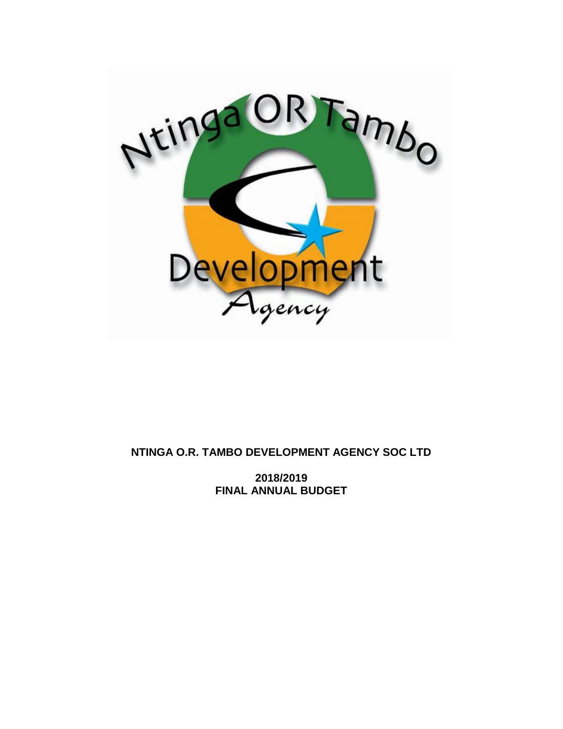

# **NTINGA O.R. TAMBO DEVELOPMENT AGENCY SOC LTD**

**2018/2019 FINAL ANNUAL BUDGET**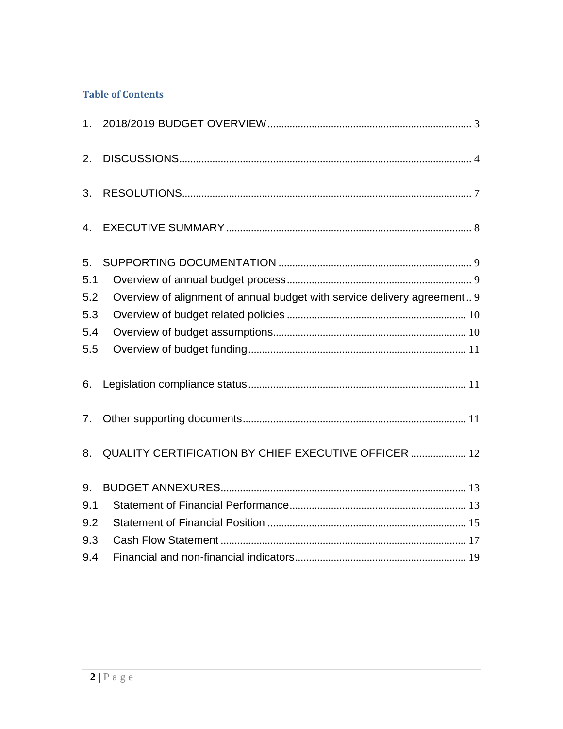# **Table of Contents**

| 2.  |                                                                          |
|-----|--------------------------------------------------------------------------|
| 3.  |                                                                          |
| 4.  |                                                                          |
| 5.  |                                                                          |
| 5.1 |                                                                          |
| 5.2 | Overview of alignment of annual budget with service delivery agreement 9 |
| 5.3 |                                                                          |
| 5.4 |                                                                          |
| 5.5 |                                                                          |
| 6.  |                                                                          |
| 7.  |                                                                          |
| 8.  | QUALITY CERTIFICATION BY CHIEF EXECUTIVE OFFICER  12                     |
| 9.  |                                                                          |
| 9.1 |                                                                          |
| 9.2 |                                                                          |
| 9.3 |                                                                          |
| 9.4 |                                                                          |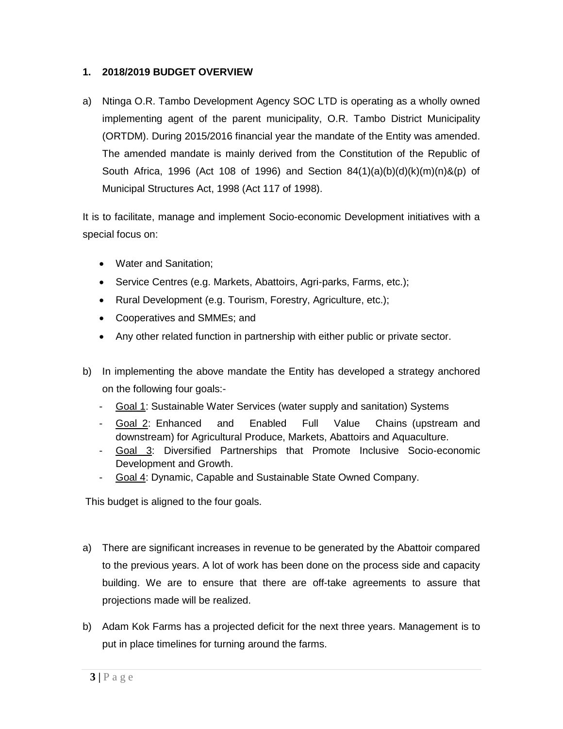#### <span id="page-2-0"></span>**1. 2018/2019 BUDGET OVERVIEW**

a) Ntinga O.R. Tambo Development Agency SOC LTD is operating as a wholly owned implementing agent of the parent municipality, O.R. Tambo District Municipality (ORTDM). During 2015/2016 financial year the mandate of the Entity was amended. The amended mandate is mainly derived from the Constitution of the Republic of South Africa, 1996 (Act 108 of 1996) and Section 84(1)(a)(b)(d)(k)(m)(n)&(p) of Municipal Structures Act, 1998 (Act 117 of 1998).

It is to facilitate, manage and implement Socio-economic Development initiatives with a special focus on:

- Water and Sanitation;
- Service Centres (e.g. Markets, Abattoirs, Agri-parks, Farms, etc.);
- Rural Development (e.g. Tourism, Forestry, Agriculture, etc.);
- Cooperatives and SMMEs; and
- Any other related function in partnership with either public or private sector.
- b) In implementing the above mandate the Entity has developed a strategy anchored on the following four goals:-
	- Goal 1: Sustainable Water Services (water supply and sanitation) Systems
	- Goal 2: Enhanced and Enabled Full Value Chains (upstream and downstream) for Agricultural Produce, Markets, Abattoirs and Aquaculture.
	- Goal 3: Diversified Partnerships that Promote Inclusive Socio-economic Development and Growth.
	- Goal 4: Dynamic, Capable and Sustainable State Owned Company.

This budget is aligned to the four goals.

- a) There are significant increases in revenue to be generated by the Abattoir compared to the previous years. A lot of work has been done on the process side and capacity building. We are to ensure that there are off-take agreements to assure that projections made will be realized.
- b) Adam Kok Farms has a projected deficit for the next three years. Management is to put in place timelines for turning around the farms.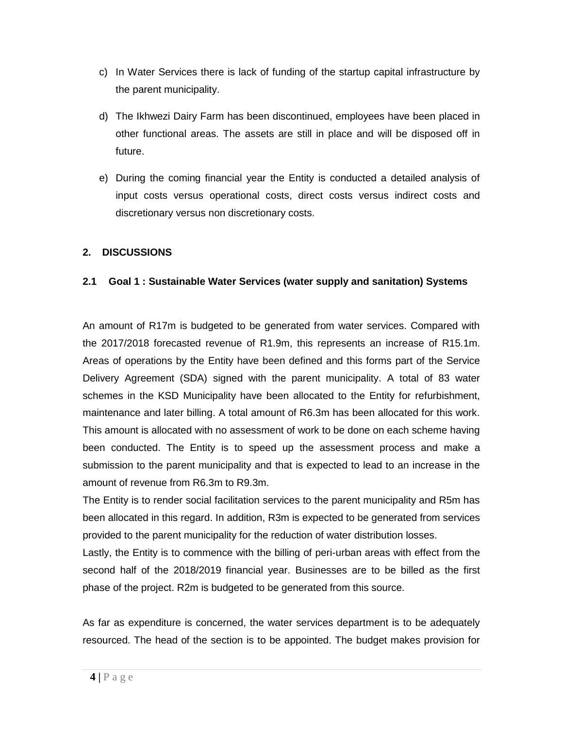- c) In Water Services there is lack of funding of the startup capital infrastructure by the parent municipality.
- d) The Ikhwezi Dairy Farm has been discontinued, employees have been placed in other functional areas. The assets are still in place and will be disposed off in future.
- e) During the coming financial year the Entity is conducted a detailed analysis of input costs versus operational costs, direct costs versus indirect costs and discretionary versus non discretionary costs.

## <span id="page-3-0"></span>**2. DISCUSSIONS**

## **2.1 Goal 1 : Sustainable Water Services (water supply and sanitation) Systems**

An amount of R17m is budgeted to be generated from water services. Compared with the 2017/2018 forecasted revenue of R1.9m, this represents an increase of R15.1m. Areas of operations by the Entity have been defined and this forms part of the Service Delivery Agreement (SDA) signed with the parent municipality. A total of 83 water schemes in the KSD Municipality have been allocated to the Entity for refurbishment, maintenance and later billing. A total amount of R6.3m has been allocated for this work. This amount is allocated with no assessment of work to be done on each scheme having been conducted. The Entity is to speed up the assessment process and make a submission to the parent municipality and that is expected to lead to an increase in the amount of revenue from R6.3m to R9.3m.

The Entity is to render social facilitation services to the parent municipality and R5m has been allocated in this regard. In addition, R3m is expected to be generated from services provided to the parent municipality for the reduction of water distribution losses.

Lastly, the Entity is to commence with the billing of peri-urban areas with effect from the second half of the 2018/2019 financial year. Businesses are to be billed as the first phase of the project. R2m is budgeted to be generated from this source.

As far as expenditure is concerned, the water services department is to be adequately resourced. The head of the section is to be appointed. The budget makes provision for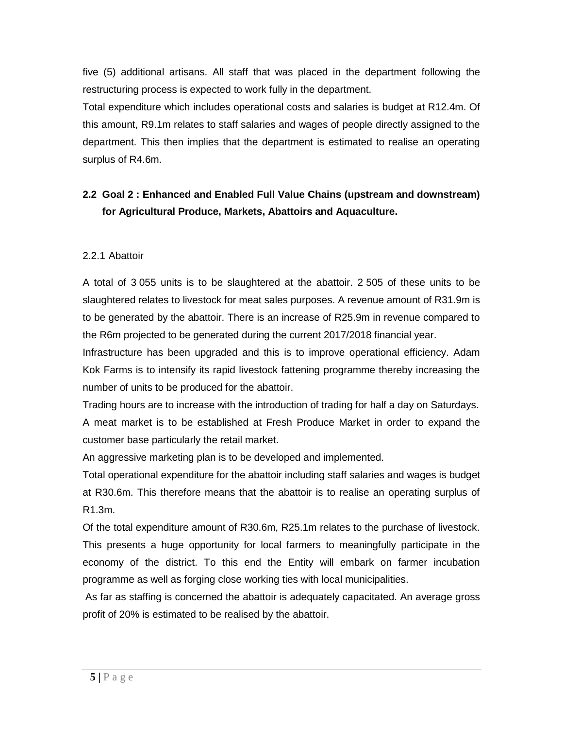five (5) additional artisans. All staff that was placed in the department following the restructuring process is expected to work fully in the department.

Total expenditure which includes operational costs and salaries is budget at R12.4m. Of this amount, R9.1m relates to staff salaries and wages of people directly assigned to the department. This then implies that the department is estimated to realise an operating surplus of R4.6m.

# **2.2 Goal 2 : Enhanced and Enabled Full Value Chains (upstream and downstream) for Agricultural Produce, Markets, Abattoirs and Aquaculture.**

## 2.2.1 Abattoir

A total of 3 055 units is to be slaughtered at the abattoir. 2 505 of these units to be slaughtered relates to livestock for meat sales purposes. A revenue amount of R31.9m is to be generated by the abattoir. There is an increase of R25.9m in revenue compared to the R6m projected to be generated during the current 2017/2018 financial year.

Infrastructure has been upgraded and this is to improve operational efficiency. Adam Kok Farms is to intensify its rapid livestock fattening programme thereby increasing the number of units to be produced for the abattoir.

Trading hours are to increase with the introduction of trading for half a day on Saturdays. A meat market is to be established at Fresh Produce Market in order to expand the customer base particularly the retail market.

An aggressive marketing plan is to be developed and implemented.

Total operational expenditure for the abattoir including staff salaries and wages is budget at R30.6m. This therefore means that the abattoir is to realise an operating surplus of R1.3m.

Of the total expenditure amount of R30.6m, R25.1m relates to the purchase of livestock. This presents a huge opportunity for local farmers to meaningfully participate in the economy of the district. To this end the Entity will embark on farmer incubation programme as well as forging close working ties with local municipalities.

As far as staffing is concerned the abattoir is adequately capacitated. An average gross profit of 20% is estimated to be realised by the abattoir.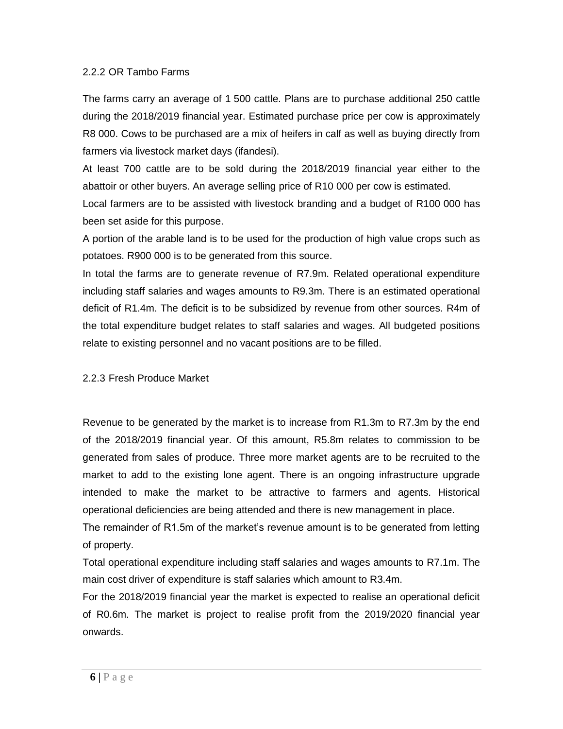#### 2.2.2 OR Tambo Farms

The farms carry an average of 1 500 cattle. Plans are to purchase additional 250 cattle during the 2018/2019 financial year. Estimated purchase price per cow is approximately R8 000. Cows to be purchased are a mix of heifers in calf as well as buying directly from farmers via livestock market days (ifandesi).

At least 700 cattle are to be sold during the 2018/2019 financial year either to the abattoir or other buyers. An average selling price of R10 000 per cow is estimated.

Local farmers are to be assisted with livestock branding and a budget of R100 000 has been set aside for this purpose.

A portion of the arable land is to be used for the production of high value crops such as potatoes. R900 000 is to be generated from this source.

In total the farms are to generate revenue of R7.9m. Related operational expenditure including staff salaries and wages amounts to R9.3m. There is an estimated operational deficit of R1.4m. The deficit is to be subsidized by revenue from other sources. R4m of the total expenditure budget relates to staff salaries and wages. All budgeted positions relate to existing personnel and no vacant positions are to be filled.

#### 2.2.3 Fresh Produce Market

Revenue to be generated by the market is to increase from R1.3m to R7.3m by the end of the 2018/2019 financial year. Of this amount, R5.8m relates to commission to be generated from sales of produce. Three more market agents are to be recruited to the market to add to the existing lone agent. There is an ongoing infrastructure upgrade intended to make the market to be attractive to farmers and agents. Historical operational deficiencies are being attended and there is new management in place.

The remainder of R1.5m of the market's revenue amount is to be generated from letting of property.

Total operational expenditure including staff salaries and wages amounts to R7.1m. The main cost driver of expenditure is staff salaries which amount to R3.4m.

For the 2018/2019 financial year the market is expected to realise an operational deficit of R0.6m. The market is project to realise profit from the 2019/2020 financial year onwards.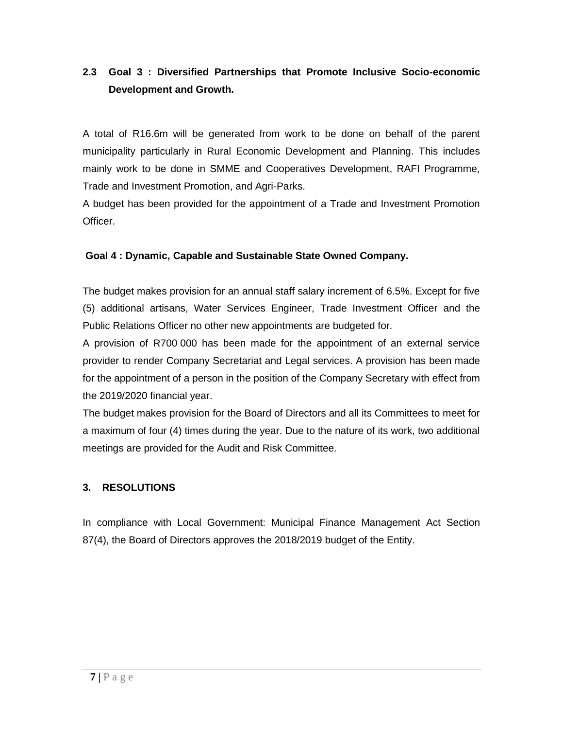# **2.3 Goal 3 : Diversified Partnerships that Promote Inclusive Socio-economic Development and Growth.**

A total of R16.6m will be generated from work to be done on behalf of the parent municipality particularly in Rural Economic Development and Planning. This includes mainly work to be done in SMME and Cooperatives Development, RAFI Programme, Trade and Investment Promotion, and Agri-Parks.

A budget has been provided for the appointment of a Trade and Investment Promotion Officer.

## **Goal 4 : Dynamic, Capable and Sustainable State Owned Company.**

The budget makes provision for an annual staff salary increment of 6.5%. Except for five (5) additional artisans, Water Services Engineer, Trade Investment Officer and the Public Relations Officer no other new appointments are budgeted for.

A provision of R700 000 has been made for the appointment of an external service provider to render Company Secretariat and Legal services. A provision has been made for the appointment of a person in the position of the Company Secretary with effect from the 2019/2020 financial year.

The budget makes provision for the Board of Directors and all its Committees to meet for a maximum of four (4) times during the year. Due to the nature of its work, two additional meetings are provided for the Audit and Risk Committee.

## <span id="page-6-0"></span>**3. RESOLUTIONS**

In compliance with Local Government: Municipal Finance Management Act Section 87(4), the Board of Directors approves the 2018/2019 budget of the Entity.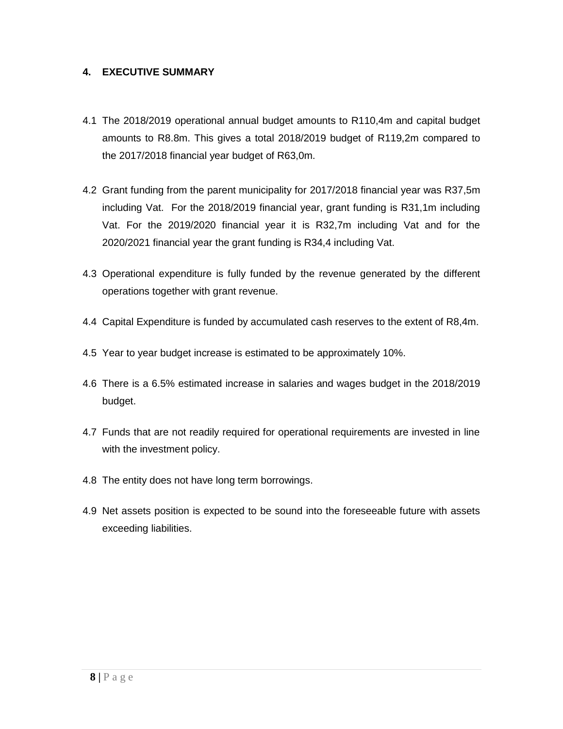#### <span id="page-7-0"></span>**4. EXECUTIVE SUMMARY**

- 4.1 The 2018/2019 operational annual budget amounts to R110,4m and capital budget amounts to R8.8m. This gives a total 2018/2019 budget of R119,2m compared to the 2017/2018 financial year budget of R63,0m.
- 4.2 Grant funding from the parent municipality for 2017/2018 financial year was R37,5m including Vat. For the 2018/2019 financial year, grant funding is R31,1m including Vat. For the 2019/2020 financial year it is R32,7m including Vat and for the 2020/2021 financial year the grant funding is R34,4 including Vat.
- 4.3 Operational expenditure is fully funded by the revenue generated by the different operations together with grant revenue.
- 4.4 Capital Expenditure is funded by accumulated cash reserves to the extent of R8,4m.
- 4.5 Year to year budget increase is estimated to be approximately 10%.
- 4.6 There is a 6.5% estimated increase in salaries and wages budget in the 2018/2019 budget.
- 4.7 Funds that are not readily required for operational requirements are invested in line with the investment policy.
- 4.8 The entity does not have long term borrowings.
- 4.9 Net assets position is expected to be sound into the foreseeable future with assets exceeding liabilities.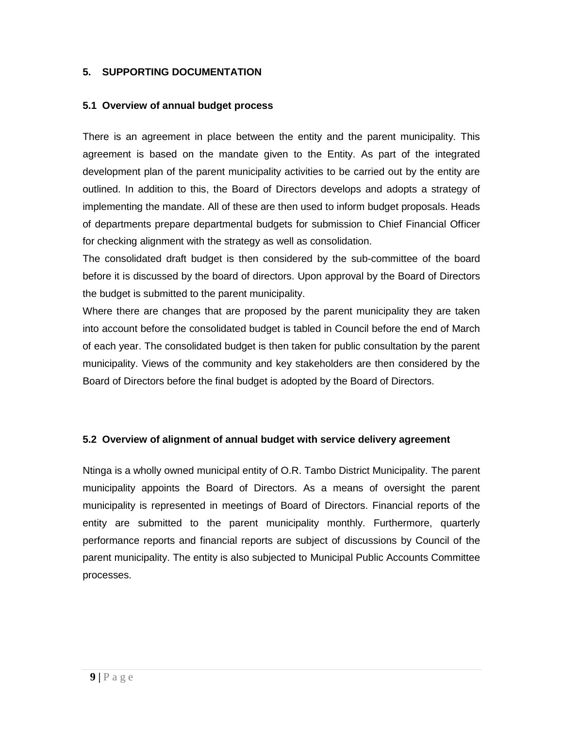#### <span id="page-8-1"></span><span id="page-8-0"></span>**5. SUPPORTING DOCUMENTATION**

#### **5.1 Overview of annual budget process**

There is an agreement in place between the entity and the parent municipality. This agreement is based on the mandate given to the Entity. As part of the integrated development plan of the parent municipality activities to be carried out by the entity are outlined. In addition to this, the Board of Directors develops and adopts a strategy of implementing the mandate. All of these are then used to inform budget proposals. Heads of departments prepare departmental budgets for submission to Chief Financial Officer for checking alignment with the strategy as well as consolidation.

The consolidated draft budget is then considered by the sub-committee of the board before it is discussed by the board of directors. Upon approval by the Board of Directors the budget is submitted to the parent municipality.

Where there are changes that are proposed by the parent municipality they are taken into account before the consolidated budget is tabled in Council before the end of March of each year. The consolidated budget is then taken for public consultation by the parent municipality. Views of the community and key stakeholders are then considered by the Board of Directors before the final budget is adopted by the Board of Directors.

#### <span id="page-8-2"></span>**5.2 Overview of alignment of annual budget with service delivery agreement**

Ntinga is a wholly owned municipal entity of O.R. Tambo District Municipality. The parent municipality appoints the Board of Directors. As a means of oversight the parent municipality is represented in meetings of Board of Directors. Financial reports of the entity are submitted to the parent municipality monthly. Furthermore, quarterly performance reports and financial reports are subject of discussions by Council of the parent municipality. The entity is also subjected to Municipal Public Accounts Committee processes.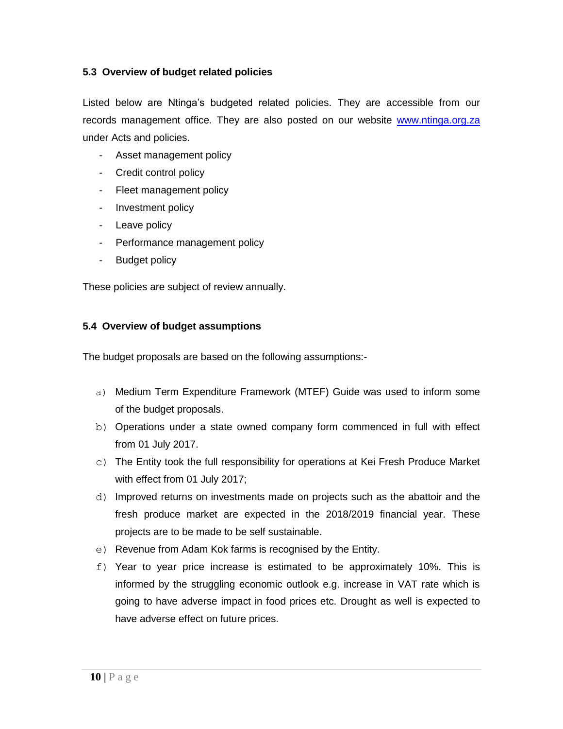### <span id="page-9-0"></span>**5.3 Overview of budget related policies**

Listed below are Ntinga's budgeted related policies. They are accessible from our records management office. They are also posted on our website [www.ntinga.org.za](http://www.ntinga.org.za/) under Acts and policies.

- Asset management policy
- Credit control policy
- Fleet management policy
- Investment policy
- Leave policy
- Performance management policy
- Budget policy

<span id="page-9-1"></span>These policies are subject of review annually.

#### **5.4 Overview of budget assumptions**

The budget proposals are based on the following assumptions:-

- a) Medium Term Expenditure Framework (MTEF) Guide was used to inform some of the budget proposals.
- b) Operations under a state owned company form commenced in full with effect from 01 July 2017.
- $\circ$ ) The Entity took the full responsibility for operations at Kei Fresh Produce Market with effect from 01 July 2017;
- d) Improved returns on investments made on projects such as the abattoir and the fresh produce market are expected in the 2018/2019 financial year. These projects are to be made to be self sustainable.
- e) Revenue from Adam Kok farms is recognised by the Entity.
- f) Year to year price increase is estimated to be approximately 10%. This is informed by the struggling economic outlook e.g. increase in VAT rate which is going to have adverse impact in food prices etc. Drought as well is expected to have adverse effect on future prices.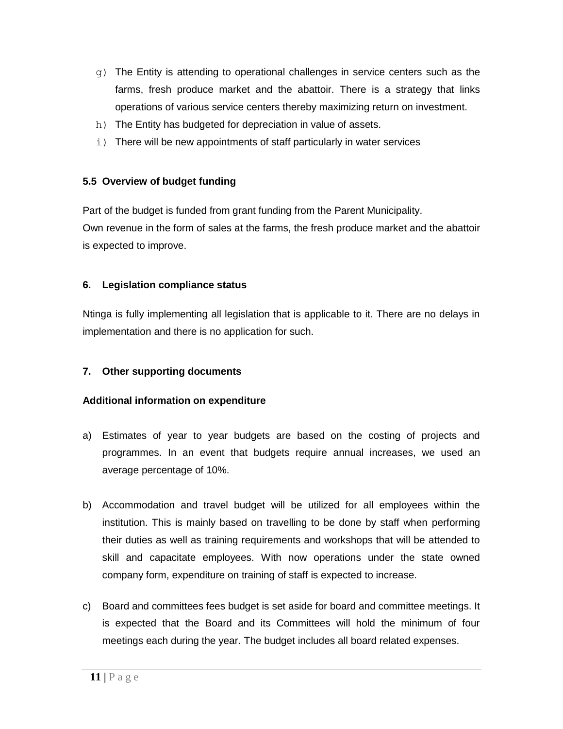- g) The Entity is attending to operational challenges in service centers such as the farms, fresh produce market and the abattoir. There is a strategy that links operations of various service centers thereby maximizing return on investment.
- h) The Entity has budgeted for depreciation in value of assets.
- i) There will be new appointments of staff particularly in water services

## <span id="page-10-0"></span>**5.5 Overview of budget funding**

Part of the budget is funded from grant funding from the Parent Municipality. Own revenue in the form of sales at the farms, the fresh produce market and the abattoir is expected to improve.

## <span id="page-10-1"></span>**6. Legislation compliance status**

Ntinga is fully implementing all legislation that is applicable to it. There are no delays in implementation and there is no application for such.

#### <span id="page-10-2"></span>**7. Other supporting documents**

#### **Additional information on expenditure**

- a) Estimates of year to year budgets are based on the costing of projects and programmes. In an event that budgets require annual increases, we used an average percentage of 10%.
- b) Accommodation and travel budget will be utilized for all employees within the institution. This is mainly based on travelling to be done by staff when performing their duties as well as training requirements and workshops that will be attended to skill and capacitate employees. With now operations under the state owned company form, expenditure on training of staff is expected to increase.
- c) Board and committees fees budget is set aside for board and committee meetings. It is expected that the Board and its Committees will hold the minimum of four meetings each during the year. The budget includes all board related expenses.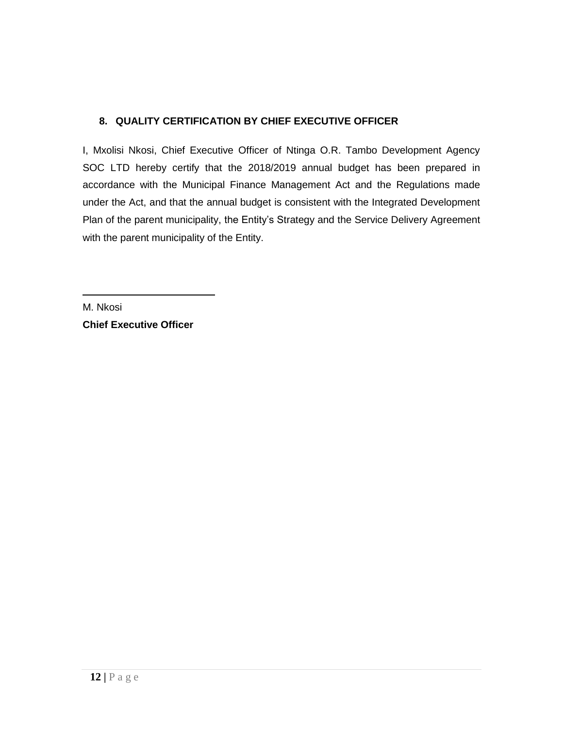# <span id="page-11-0"></span>**8. QUALITY CERTIFICATION BY CHIEF EXECUTIVE OFFICER**

I, Mxolisi Nkosi, Chief Executive Officer of Ntinga O.R. Tambo Development Agency SOC LTD hereby certify that the 2018/2019 annual budget has been prepared in accordance with the Municipal Finance Management Act and the Regulations made under the Act, and that the annual budget is consistent with the Integrated Development Plan of the parent municipality, the Entity's Strategy and the Service Delivery Agreement with the parent municipality of the Entity.

M. Nkosi **Chief Executive Officer**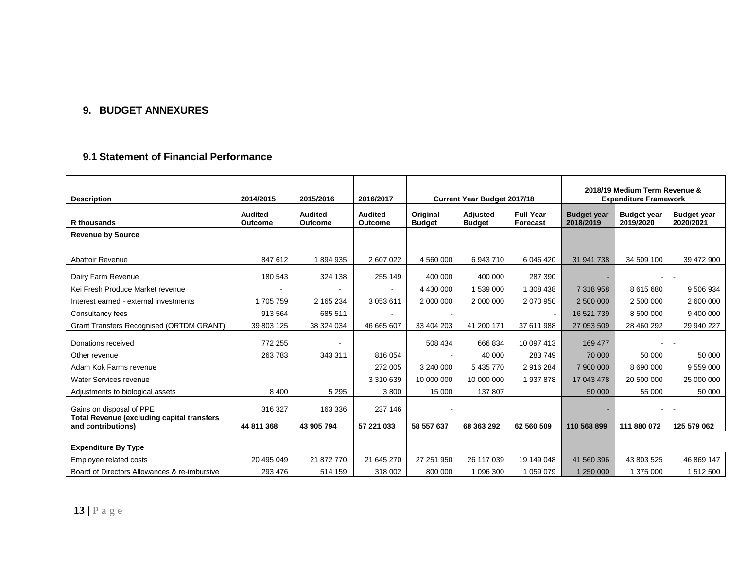## **9. BUDGET ANNEXURES**

### **9.1 Statement of Financial Performance**

<span id="page-12-1"></span><span id="page-12-0"></span>

| <b>Description</b>                                                      | 2014/2015                        | 2015/2016                        | 2016/2017                        |                           | <b>Current Year Budget 2017/18</b> |                              |                                 | 2018/19 Medium Term Revenue &<br><b>Expenditure Framework</b> |                                 |  |  |
|-------------------------------------------------------------------------|----------------------------------|----------------------------------|----------------------------------|---------------------------|------------------------------------|------------------------------|---------------------------------|---------------------------------------------------------------|---------------------------------|--|--|
| <b>R</b> thousands                                                      | <b>Audited</b><br><b>Outcome</b> | <b>Audited</b><br><b>Outcome</b> | <b>Audited</b><br><b>Outcome</b> | Original<br><b>Budget</b> | Adjusted<br><b>Budget</b>          | <b>Full Year</b><br>Forecast | <b>Budget year</b><br>2018/2019 | <b>Budget year</b><br>2019/2020                               | <b>Budget year</b><br>2020/2021 |  |  |
| <b>Revenue by Source</b>                                                |                                  |                                  |                                  |                           |                                    |                              |                                 |                                                               |                                 |  |  |
|                                                                         |                                  |                                  |                                  |                           |                                    |                              |                                 |                                                               |                                 |  |  |
| <b>Abattoir Revenue</b>                                                 | 847 612                          | 1894935                          | 2 607 022                        | 4 560 000                 | 6943710                            | 6 046 420                    | 31 941 738                      | 34 509 100                                                    | 39 472 900                      |  |  |
| Dairy Farm Revenue                                                      | 180 543                          | 324 138                          | 255 149                          | 400 000                   | 400 000                            | 287 390                      |                                 | $\sim$                                                        |                                 |  |  |
| Kei Fresh Produce Market revenue                                        |                                  |                                  | $\blacksquare$                   | 4 430 000                 | 1 539 000                          | 308 438                      | 7 318 958                       | 8 615 680                                                     | 9 506 934                       |  |  |
| Interest earned - external investments                                  | 1705759                          | 2 165 234                        | 3 0 5 3 6 1 1                    | 2 000 000                 | 2 000 000                          | 2 070 950                    | 2 500 000                       | 2 500 000                                                     | 2 600 000                       |  |  |
| Consultancy fees                                                        | 913 564                          | 685 511                          | $\overline{\phantom{a}}$         |                           |                                    |                              | 16 521 739                      | 8 500 000                                                     | 9 400 000                       |  |  |
| Grant Transfers Recognised (ORTDM GRANT)                                | 39 803 125                       | 38 324 034                       | 46 665 607                       | 33 404 203                | 41 200 171                         | 37 611 988                   | 27 053 509                      | 28 460 292                                                    | 29 940 227                      |  |  |
| Donations received                                                      | 772 255                          |                                  |                                  | 508 434                   | 666 834                            | 10 097 413                   | 169 477                         |                                                               |                                 |  |  |
| Other revenue                                                           | 263783                           | 343 311                          | 816 054                          |                           | 40 000                             | 283749                       | 70 000                          | 50 000                                                        | 50 000                          |  |  |
| Adam Kok Farms revenue                                                  |                                  |                                  | 272 005                          | 3 240 000                 | 5 435 770                          | 2 916 284                    | 7 900 000                       | 8 690 000                                                     | 9 559 000                       |  |  |
| Water Services revenue                                                  |                                  |                                  | 3 310 639                        | 10 000 000                | 10 000 000                         | 937878                       | 17 043 478                      | 20 500 000                                                    | 25 000 000                      |  |  |
| Adjustments to biological assets                                        | 8 4 0 0                          | 5 2 9 5                          | 3800                             | 15 000                    | 137 807                            |                              | 50 000                          | 55 000                                                        | 50 000                          |  |  |
| Gains on disposal of PPE                                                | 316 327                          | 163 336                          | 237 146                          |                           |                                    |                              |                                 |                                                               |                                 |  |  |
| <b>Total Revenue (excluding capital transfers</b><br>and contributions) | 44 811 368                       | 43 905 794                       | 57 221 033                       | 58 557 637                | 68 363 292                         | 62 560 509                   | 110 568 899                     | 111 880 072                                                   | 125 579 062                     |  |  |
|                                                                         |                                  |                                  |                                  |                           |                                    |                              |                                 |                                                               |                                 |  |  |
| <b>Expenditure By Type</b>                                              |                                  |                                  |                                  |                           |                                    |                              |                                 |                                                               |                                 |  |  |
| Employee related costs                                                  | 20 495 049                       | 21 872 770                       | 21 645 270                       | 27 251 950                | 26 117 039                         | 19 149 048                   | 41 560 396                      | 43 803 525                                                    | 46 869 147                      |  |  |
| Board of Directors Allowances & re-imbursive                            | 293 476                          | 514 159                          | 318 002                          | 800 000                   | 1 096 300                          | 1 059 079                    | 1 250 000                       | 1 375 000                                                     | 1512500                         |  |  |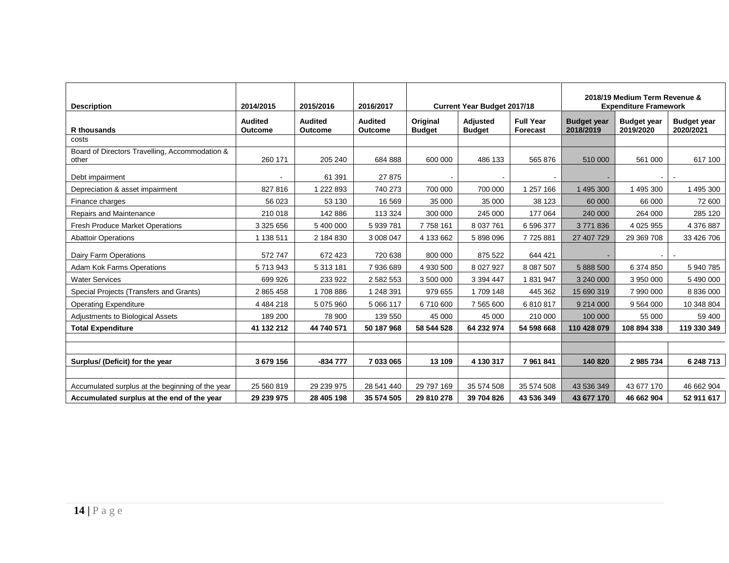| <b>Description</b>                                      | 2014/2015                        | 2015/2016                        | 2016/2017                        |                           | <b>Current Year Budget 2017/18</b> |                              |                                 | 2018/19 Medium Term Revenue &<br><b>Expenditure Framework</b><br><b>Budget year</b> |                                 |  |
|---------------------------------------------------------|----------------------------------|----------------------------------|----------------------------------|---------------------------|------------------------------------|------------------------------|---------------------------------|-------------------------------------------------------------------------------------|---------------------------------|--|
| <b>R</b> thousands                                      | <b>Audited</b><br><b>Outcome</b> | <b>Audited</b><br><b>Outcome</b> | <b>Audited</b><br><b>Outcome</b> | Original<br><b>Budget</b> | Adjusted<br><b>Budget</b>          | <b>Full Year</b><br>Forecast | <b>Budget year</b><br>2018/2019 | 2019/2020                                                                           | <b>Budget year</b><br>2020/2021 |  |
| costs                                                   |                                  |                                  |                                  |                           |                                    |                              |                                 |                                                                                     |                                 |  |
| Board of Directors Travelling, Accommodation &<br>other | 260 171                          | 205 240                          | 684 888                          | 600 000                   | 486 133                            | 565 876                      | 510 000                         | 561 000                                                                             | 617 100                         |  |
| Debt impairment                                         |                                  | 61 391                           | 27 875                           |                           |                                    |                              |                                 |                                                                                     |                                 |  |
| Depreciation & asset impairment                         | 827 816                          | 222 893                          | 740 273                          | 700 000                   | 700 000                            | 1 257 166                    | 1 495 300                       | 1 495 300                                                                           | 1 495 300                       |  |
| Finance charges                                         | 56 023                           | 53 130                           | 16 569                           | 35 000                    | 35 000                             | 38 1 23                      | 60 000                          | 66 000                                                                              | 72 600                          |  |
| Repairs and Maintenance                                 | 210 018                          | 142 886                          | 113 324                          | 300 000                   | 245 000                            | 177 064                      | 240 000                         | 264 000                                                                             | 285 120                         |  |
| <b>Fresh Produce Market Operations</b>                  | 3 3 2 5 6 5 6                    | 5 400 000                        | 5 939 781                        | 7758161                   | 8 037 761                          | 6 596 377                    | 3771836                         | 4 0 25 9 55                                                                         | 4 376 887                       |  |
| <b>Abattoir Operations</b>                              | 1 138 511                        | 2 184 830                        | 3 008 047                        | 4 133 662                 | 5898096                            | 7725881                      | 27 407 729                      | 29 369 708                                                                          | 33 426 706                      |  |
| Dairy Farm Operations                                   | 572 747                          | 672 423                          | 720 638                          | 800 000                   | 875 522                            | 644 421                      |                                 |                                                                                     |                                 |  |
| <b>Adam Kok Farms Operations</b>                        | 5713943                          | 5 313 181                        | 7936689                          | 4 930 500                 | 8 0 27 9 27                        | 8 087 507                    | 5 888 500                       | 6 374 850                                                                           | 5 940 785                       |  |
| <b>Water Services</b>                                   | 699 926                          | 233 922                          | 2 582 553                        | 3 500 000                 | 3 394 447                          | 1831947                      | 3 240 000                       | 3 950 000                                                                           | 5 490 000                       |  |
| Special Projects (Transfers and Grants)                 | 2 865 458                        | 1708886                          | 1 248 391                        | 979 655                   | 1709 148                           | 445 362                      | 15 690 319                      | 7 990 000                                                                           | 8 8 3 6 0 0 0                   |  |
| <b>Operating Expenditure</b>                            | 4 4 8 4 2 1 8                    | 5 075 960                        | 5 066 117                        | 6710600                   | 7 565 600                          | 6810817                      | 9 214 000                       | 9 5 64 0 00                                                                         | 10 348 804                      |  |
| Adjustments to Biological Assets                        | 189 200                          | 78 900                           | 139 550                          | 45 000                    | 45 000                             | 210 000                      | 100 000                         | 55 000                                                                              | 59 400                          |  |
| <b>Total Expenditure</b>                                | 41 132 212                       | 44 740 571                       | 50 187 968                       | 58 544 528                | 64 232 974                         | 54 598 668                   | 110 428 079                     | 108 894 338                                                                         | 119 330 349                     |  |
|                                                         |                                  |                                  |                                  |                           |                                    |                              |                                 |                                                                                     |                                 |  |
|                                                         |                                  |                                  |                                  |                           |                                    |                              |                                 |                                                                                     |                                 |  |
| Surplus/ (Deficit) for the year                         | 3 679 156                        | -834 777                         | 7 033 065                        | 13 109                    | 4 130 317                          | 7 961 841                    | 140 820                         | 2 985 734                                                                           | 6 248 713                       |  |
|                                                         |                                  |                                  |                                  |                           |                                    |                              |                                 |                                                                                     |                                 |  |
| Accumulated surplus at the beginning of the year        | 25 560 819                       | 29 239 975                       | 28 541 440                       | 29 797 169                | 35 574 508                         | 35 574 508                   | 43 536 349                      | 43 677 170                                                                          | 46 662 904                      |  |
| Accumulated surplus at the end of the year              | 29 239 975                       | 28 405 198                       | 35 574 505                       | 29 810 278                | 39 704 826                         | 43 536 349                   | 43 677 170                      | 46 662 904                                                                          | 52 911 617                      |  |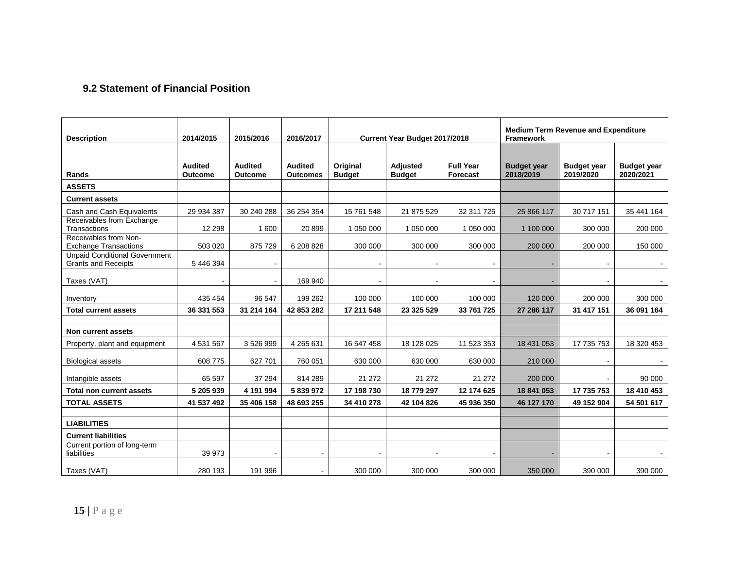## **9.2 Statement of Financial Position**

<span id="page-14-0"></span>

| <b>Description</b>                                                 | 2014/2015                        | 2015/2016                        | 2016/2017                         |                           | Current Year Budget 2017/2018 |                              | <b>Medium Term Revenue and Expenditure</b><br><b>Framework</b> |                                 |                                 |  |
|--------------------------------------------------------------------|----------------------------------|----------------------------------|-----------------------------------|---------------------------|-------------------------------|------------------------------|----------------------------------------------------------------|---------------------------------|---------------------------------|--|
| Rands                                                              | <b>Audited</b><br><b>Outcome</b> | <b>Audited</b><br><b>Outcome</b> | <b>Audited</b><br><b>Outcomes</b> | Original<br><b>Budget</b> | Adjusted<br><b>Budget</b>     | <b>Full Year</b><br>Forecast | <b>Budget year</b><br>2018/2019                                | <b>Budget year</b><br>2019/2020 | <b>Budget year</b><br>2020/2021 |  |
| <b>ASSETS</b>                                                      |                                  |                                  |                                   |                           |                               |                              |                                                                |                                 |                                 |  |
| <b>Current assets</b>                                              |                                  |                                  |                                   |                           |                               |                              |                                                                |                                 |                                 |  |
| Cash and Cash Equivalents                                          | 29 934 387                       | 30 240 288                       | 36 254 354                        | 15 761 548                | 21 875 529                    | 32 311 725                   | 25 866 117                                                     | 30 717 151                      | 35 441 164                      |  |
| Receivables from Exchange<br>Transactions                          | 12 2 9 8                         | 1 600                            | 20 899                            | 1 050 000                 | 1 050 000                     | 1 050 000                    | 1 100 000                                                      | 300 000                         | 200 000                         |  |
| Receivables from Non-<br><b>Exchange Transactions</b>              | 503 020                          | 875 729                          | 6 208 828                         | 300 000                   | 300 000                       | 300 000                      | 200 000                                                        | 200 000                         | 150 000                         |  |
| <b>Unpaid Conditional Government</b><br><b>Grants and Receipts</b> | 5 446 394                        |                                  |                                   |                           |                               |                              |                                                                |                                 |                                 |  |
| Taxes (VAT)                                                        |                                  |                                  | 169 940                           |                           |                               |                              |                                                                |                                 |                                 |  |
| Inventory                                                          | 435 454                          | 96 547                           | 199 262                           | 100 000                   | 100 000                       | 100 000                      | 120 000                                                        | 200 000                         | 300 000                         |  |
| <b>Total current assets</b>                                        | 36 331 553                       | 31 214 164                       | 42 853 282                        | 17 211 548                | 23 325 529                    | 33 761 725                   | 27 286 117                                                     | 31 417 151                      | 36 091 164                      |  |
|                                                                    |                                  |                                  |                                   |                           |                               |                              |                                                                |                                 |                                 |  |
| Non current assets                                                 |                                  |                                  |                                   |                           |                               |                              |                                                                |                                 |                                 |  |
| Property, plant and equipment                                      | 4 531 567                        | 3526999                          | 4 265 631                         | 16 547 458                | 18 128 025                    | 11 523 353                   | 18 431 053                                                     | 17 735 753                      | 18 320 453                      |  |
| <b>Biological assets</b>                                           | 608 775                          | 627 701                          | 760 051                           | 630 000                   | 630 000                       | 630 000                      | 210 000                                                        |                                 |                                 |  |
| Intangible assets                                                  | 65 597                           | 37 294                           | 814 289                           | 21 27 2                   | 21 27 2                       | 21 27 2                      | 200 000                                                        |                                 | 90 000                          |  |
| <b>Total non current assets</b>                                    | 5 205 939                        | 4 191 994                        | 5 839 972                         | 17 198 730                | 18 779 297                    | 12 174 625                   | 18 841 053                                                     | 17 735 753                      | 18 410 453                      |  |
| <b>TOTAL ASSETS</b>                                                | 41 537 492                       | 35 406 158                       | 48 693 255                        | 34 410 278                | 42 104 826                    | 45 936 350                   | 46 127 170                                                     | 49 152 904                      | 54 501 617                      |  |
| <b>LIABILITIES</b>                                                 |                                  |                                  |                                   |                           |                               |                              |                                                                |                                 |                                 |  |
|                                                                    |                                  |                                  |                                   |                           |                               |                              |                                                                |                                 |                                 |  |
| <b>Current liabilities</b><br>Current portion of long-term         |                                  |                                  |                                   |                           |                               |                              |                                                                |                                 |                                 |  |
| liabilities                                                        | 39 973                           |                                  |                                   |                           |                               |                              |                                                                |                                 |                                 |  |
| Taxes (VAT)                                                        | 280 193                          | 191 996                          |                                   | 300 000                   | 300 000                       | 300 000                      | 350 000                                                        | 390 000                         | 390 000                         |  |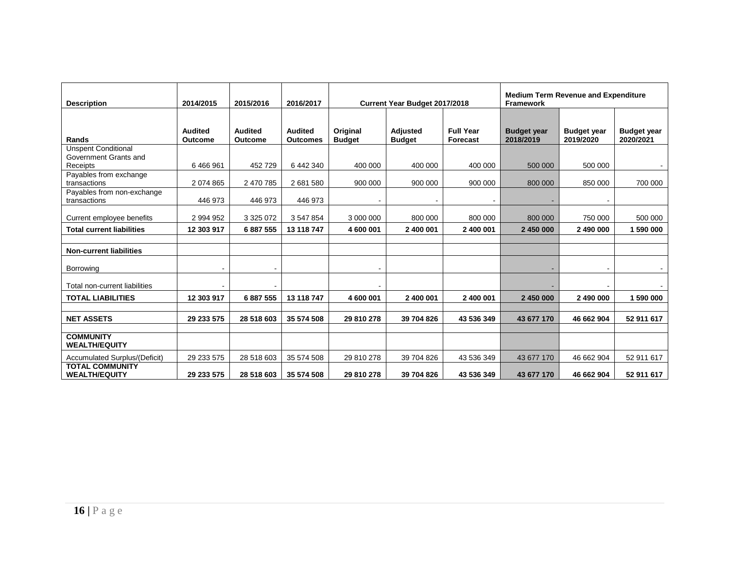| <b>Description</b>                                              | 2014/2015                        | 2015/2016                        | 2016/2017                         | <b>Medium Term Revenue and Expenditure</b><br><b>Current Year Budget 2017/2018</b><br><b>Framework</b> |                           |                              |                                 |                                 |                                 |
|-----------------------------------------------------------------|----------------------------------|----------------------------------|-----------------------------------|--------------------------------------------------------------------------------------------------------|---------------------------|------------------------------|---------------------------------|---------------------------------|---------------------------------|
| Rands                                                           | <b>Audited</b><br><b>Outcome</b> | <b>Audited</b><br><b>Outcome</b> | <b>Audited</b><br><b>Outcomes</b> | Original<br><b>Budget</b>                                                                              | Adjusted<br><b>Budget</b> | <b>Full Year</b><br>Forecast | <b>Budget year</b><br>2018/2019 | <b>Budget year</b><br>2019/2020 | <b>Budget year</b><br>2020/2021 |
| <b>Unspent Conditional</b><br>Government Grants and<br>Receipts | 6 466 961                        | 452 729                          | 6 442 340                         | 400 000                                                                                                | 400 000                   | 400 000                      | 500 000                         | 500 000                         |                                 |
| Payables from exchange<br>transactions                          | 2 074 865                        | 2 470 785                        | 2681580                           | 900 000                                                                                                | 900 000                   | 900 000                      | 800 000                         | 850 000                         | 700 000                         |
| Payables from non-exchange<br>transactions                      | 446 973                          | 446 973                          | 446 973                           |                                                                                                        |                           |                              |                                 |                                 |                                 |
| Current employee benefits                                       | 2 994 952                        | 3 3 2 5 0 7 2                    | 3 547 854                         | 3 000 000                                                                                              | 800 000                   | 800 000                      | 800 000                         | 750 000                         | 500 000                         |
| <b>Total current liabilities</b>                                | 12 303 917                       | 6 887 555                        | 13 118 747                        | 4 600 001                                                                                              | 2 400 001                 | 2 400 001                    | 2 450 000                       | 2 490 000                       | 1 590 000                       |
| <b>Non-current liabilities</b>                                  |                                  |                                  |                                   |                                                                                                        |                           |                              |                                 |                                 |                                 |
| Borrowing                                                       |                                  |                                  |                                   |                                                                                                        |                           |                              |                                 |                                 |                                 |
| Total non-current liabilities                                   |                                  |                                  |                                   |                                                                                                        |                           |                              |                                 |                                 |                                 |
| <b>TOTAL LIABILITIES</b>                                        | 12 303 917                       | 6887555                          | 13 118 747                        | 4 600 001                                                                                              | 2 400 001                 | 2 400 001                    | 2 450 000                       | 2 490 000                       | 1 590 000                       |
| <b>NET ASSETS</b>                                               | 29 233 575                       | 28 518 603                       | 35 574 508                        | 29 810 278                                                                                             | 39 704 826                | 43 536 349                   | 43 677 170                      | 46 662 904                      | 52 911 617                      |
| <b>COMMUNITY</b><br><b>WEALTH/EQUITY</b>                        |                                  |                                  |                                   |                                                                                                        |                           |                              |                                 |                                 |                                 |
| Accumulated Surplus/(Deficit)                                   | 29 233 575                       | 28 518 603                       | 35 574 508                        | 29 810 278                                                                                             | 39 704 826                | 43 536 349                   | 43 677 170                      | 46 662 904                      | 52 911 617                      |
| <b>TOTAL COMMUNITY</b><br><b>WEALTH/EQUITY</b>                  | 29 233 575                       | 28 518 603                       | 35 574 508                        | 29 810 278                                                                                             | 39 704 826                | 43 536 349                   | 43 677 170                      | 46 662 904                      | 52 911 617                      |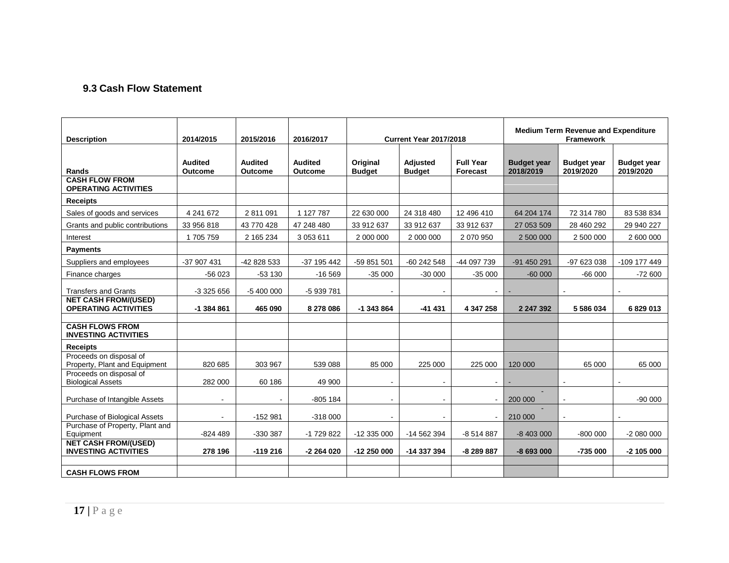### **9.3 Cash Flow Statement**

<span id="page-16-0"></span>

| <b>Description</b>                                         | 2014/2015                        | 2015/2016                 | 2016/2017                        |                           | <b>Current Year 2017/2018</b> |                              |                                 | <b>Medium Term Revenue and Expenditure</b> |                                 |
|------------------------------------------------------------|----------------------------------|---------------------------|----------------------------------|---------------------------|-------------------------------|------------------------------|---------------------------------|--------------------------------------------|---------------------------------|
| Rands                                                      | <b>Audited</b><br><b>Outcome</b> | <b>Audited</b><br>Outcome | <b>Audited</b><br><b>Outcome</b> | Original<br><b>Budget</b> | Adjusted<br><b>Budget</b>     | <b>Full Year</b><br>Forecast | <b>Budget year</b><br>2018/2019 | <b>Budget year</b><br>2019/2020            | <b>Budget year</b><br>2019/2020 |
| <b>CASH FLOW FROM</b><br><b>OPERATING ACTIVITIES</b>       |                                  |                           |                                  |                           |                               |                              |                                 |                                            |                                 |
| <b>Receipts</b>                                            |                                  |                           |                                  |                           |                               |                              |                                 |                                            |                                 |
| Sales of goods and services                                | 4 241 672                        | 2 811 091                 | 1 127 787                        | 22 630 000                | 24 318 480                    | 12 496 410                   | 64 204 174                      | 72 314 780                                 | 83 538 834                      |
| Grants and public contributions                            | 33 956 818                       | 43 770 428                | 47 248 480                       | 33 912 637                | 33 912 637                    | 33 912 637                   | 27 053 509                      | 28 460 292                                 | 29 940 227                      |
| Interest                                                   | 1705759                          | 2 165 234                 | 3 053 611                        | 2 000 000                 | 2 000 000                     | 2 070 950                    | 2 500 000                       | 2 500 000                                  | 2 600 000                       |
| <b>Payments</b>                                            |                                  |                           |                                  |                           |                               |                              |                                 |                                            |                                 |
| Suppliers and employees                                    | -37 907 431                      | -42 828 533               | -37 195 442                      | -59 851 501               | $-60242548$                   | -44 097 739                  | -91 450 291                     | -97 623 038                                | -109 177 449                    |
| Finance charges                                            | $-56023$                         | $-53130$                  | $-16569$                         | $-35000$                  | $-30000$                      | $-35000$                     | $-60000$                        | $-66000$                                   | $-72600$                        |
| <b>Transfers and Grants</b>                                | $-3325656$                       | $-5400000$                | -5 939 781                       |                           |                               | $\blacksquare$               |                                 |                                            |                                 |
| <b>NET CASH FROM/(USED)</b><br><b>OPERATING ACTIVITIES</b> | $-1384861$                       | 465 090                   | 8 278 086                        | $-1343864$                | $-41431$                      | 4 347 258                    | 2 247 392                       | 5 586 034                                  | 6829013                         |
| <b>CASH FLOWS FROM</b>                                     |                                  |                           |                                  |                           |                               |                              |                                 |                                            |                                 |
| <b>INVESTING ACTIVITIES</b>                                |                                  |                           |                                  |                           |                               |                              |                                 |                                            |                                 |
| <b>Receipts</b>                                            |                                  |                           |                                  |                           |                               |                              |                                 |                                            |                                 |
| Proceeds on disposal of<br>Property, Plant and Equipment   | 820 685                          | 303 967                   | 539 088                          | 85 000                    | 225 000                       | 225 000                      | 120 000                         | 65 000                                     | 65 000                          |
| Proceeds on disposal of<br><b>Biological Assets</b>        | 282 000                          | 60 186                    | 49 900                           |                           |                               |                              |                                 |                                            |                                 |
| Purchase of Intangible Assets                              | $\sim$                           |                           | $-805$ 184                       | $\blacksquare$            |                               | $\overline{\phantom{a}}$     | 200 000                         |                                            | $-90000$                        |
| <b>Purchase of Biological Assets</b>                       |                                  | $-152981$                 | $-318000$                        |                           |                               | $\overline{\phantom{a}}$     | 210 000                         |                                            |                                 |
| Purchase of Property, Plant and<br>Equipment               | $-824489$                        | -330 387                  | -1 729 822                       | -12 335 000               | -14 562 394                   | $-8514887$                   | $-8403000$                      | $-800000$                                  | $-2080000$                      |
| <b>NET CASH FROM/(USED)</b><br><b>INVESTING ACTIVITIES</b> | 278 196                          | $-119216$                 | $-2264020$                       | $-12250000$               | -14 337 394                   | -8 289 887                   | $-8693000$                      | $-735000$                                  | $-2$ 105 000                    |
|                                                            |                                  |                           |                                  |                           |                               |                              |                                 |                                            |                                 |
| <b>CASH FLOWS FROM</b>                                     |                                  |                           |                                  |                           |                               |                              |                                 |                                            |                                 |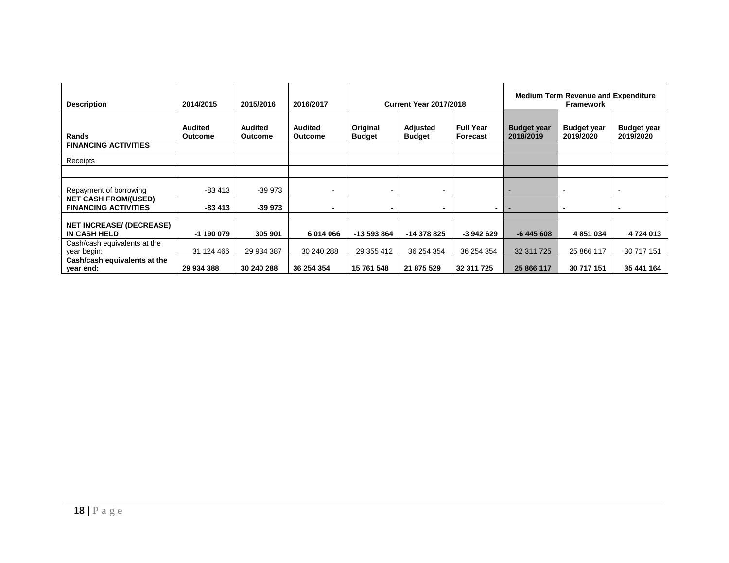| <b>Description</b>              | 2014/2015      | 2015/2016      | 2016/2017                |                          | <b>Current Year 2017/2018</b> |                  | <b>Medium Term Revenue and Expenditure</b><br><b>Framework</b> |                    |                    |  |
|---------------------------------|----------------|----------------|--------------------------|--------------------------|-------------------------------|------------------|----------------------------------------------------------------|--------------------|--------------------|--|
|                                 | <b>Audited</b> | <b>Audited</b> | <b>Audited</b>           | Original                 | Adjusted                      | <b>Full Year</b> | <b>Budget year</b>                                             | <b>Budget year</b> | <b>Budget year</b> |  |
| <b>Rands</b>                    | Outcome        | <b>Outcome</b> | <b>Outcome</b>           | <b>Budget</b>            | Budget                        | Forecast         | 2018/2019                                                      | 2019/2020          | 2019/2020          |  |
| <b>FINANCING ACTIVITIES</b>     |                |                |                          |                          |                               |                  |                                                                |                    |                    |  |
| Receipts                        |                |                |                          |                          |                               |                  |                                                                |                    |                    |  |
|                                 |                |                |                          |                          |                               |                  |                                                                |                    |                    |  |
|                                 |                |                |                          |                          |                               |                  |                                                                |                    |                    |  |
| Repayment of borrowing          | -83 413        | -39 973        |                          | $\overline{\phantom{a}}$ | ۰                             |                  |                                                                | $\blacksquare$     |                    |  |
| <b>NET CASH FROM/(USED)</b>     |                |                |                          |                          |                               |                  |                                                                |                    |                    |  |
| <b>FINANCING ACTIVITIES</b>     | -83 413        | -39 973        | $\overline{\phantom{0}}$ | -                        |                               | -                |                                                                | $\blacksquare$     |                    |  |
|                                 |                |                |                          |                          |                               |                  |                                                                |                    |                    |  |
| <b>NET INCREASE/ (DECREASE)</b> |                |                |                          |                          |                               |                  |                                                                |                    |                    |  |
| <b>IN CASH HELD</b>             | -1 190 079     | 305 901        | 6014066                  | -13 593 864              | -14 378 825                   | -3 942 629       | $-6445608$                                                     | 4 8 51 0 34        | 4724013            |  |
| Cash/cash equivalents at the    |                |                |                          |                          |                               |                  |                                                                |                    |                    |  |
| year begin:                     | 31 124 466     | 29 934 387     | 30 240 288               | 29 355 412               | 36 254 354                    | 36 254 354       | 32 311 725                                                     | 25 866 117         | 30 717 151         |  |
| Cash/cash equivalents at the    |                |                |                          |                          |                               |                  |                                                                |                    |                    |  |
| year end:                       | 29 934 388     | 30 240 288     | 36 254 354               | 15 761 548               | 21 875 529                    | 32 311 725       | 25 866 117                                                     | 30 717 151         | 35 441 164         |  |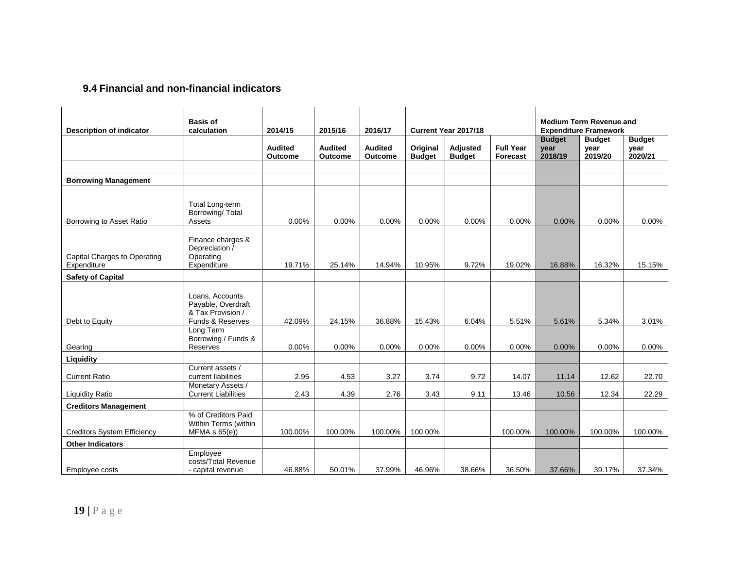## **9.4 Financial and non-financial indicators**

<span id="page-18-0"></span>

| <b>Description of indicator</b>             | <b>Basis of</b><br>calculation                                                              | 2014/15                   | 2015/16                   | 2016/17                   |                           | Current Year 2017/18      |                              |                                  | <b>Medium Term Revenue and</b><br><b>Expenditure Framework</b> |                                  |
|---------------------------------------------|---------------------------------------------------------------------------------------------|---------------------------|---------------------------|---------------------------|---------------------------|---------------------------|------------------------------|----------------------------------|----------------------------------------------------------------|----------------------------------|
|                                             |                                                                                             | <b>Audited</b><br>Outcome | <b>Audited</b><br>Outcome | <b>Audited</b><br>Outcome | Original<br><b>Budget</b> | Adjusted<br><b>Budget</b> | <b>Full Year</b><br>Forecast | <b>Budget</b><br>year<br>2018/19 | <b>Budget</b><br>year<br>2019/20                               | <b>Budget</b><br>year<br>2020/21 |
|                                             |                                                                                             |                           |                           |                           |                           |                           |                              |                                  |                                                                |                                  |
| <b>Borrowing Management</b>                 |                                                                                             |                           |                           |                           |                           |                           |                              |                                  |                                                                |                                  |
| Borrowing to Asset Ratio                    | <b>Total Long-term</b><br>Borrowing/ Total<br>Assets                                        | 0.00%                     | 0.00%                     | 0.00%                     | 0.00%                     | 0.00%                     | 0.00%                        | 0.00%                            | 0.00%                                                          | $0.00\%$                         |
| Capital Charges to Operating<br>Expenditure | Finance charges &<br>Depreciation /<br>Operating<br>Expenditure                             | 19.71%                    | 25.14%                    | 14.94%                    | 10.95%                    | 9.72%                     | 19.02%                       | 16.88%                           | 16.32%                                                         | 15.15%                           |
| <b>Safety of Capital</b>                    |                                                                                             |                           |                           |                           |                           |                           |                              |                                  |                                                                |                                  |
| Debt to Equity                              | Loans, Accounts<br>Payable, Overdraft<br>& Tax Provision /<br>Funds & Reserves<br>Long Term | 42.09%                    | 24.15%                    | 36.88%                    | 15.43%                    | 6.04%                     | 5.51%                        | 5.61%                            | 5.34%                                                          | 3.01%                            |
| Gearing                                     | Borrowing / Funds &<br>Reserves                                                             | 0.00%                     | 0.00%                     | 0.00%                     | 0.00%                     | 0.00%                     | 0.00%                        | 0.00%                            | 0.00%                                                          | 0.00%                            |
| Liquidity                                   |                                                                                             |                           |                           |                           |                           |                           |                              |                                  |                                                                |                                  |
| <b>Current Ratio</b>                        | Current assets /<br>current liabilities                                                     | 2.95                      | 4.53                      | 3.27                      | 3.74                      | 9.72                      | 14.07                        | 11.14                            | 12.62                                                          | 22.70                            |
| <b>Liquidity Ratio</b>                      | Monetary Assets /<br><b>Current Liabilities</b>                                             | 2.43                      | 4.39                      | 2.76                      | 3.43                      | 9.11                      | 13.46                        | 10.56                            | 12.34                                                          | 22.29                            |
| <b>Creditors Management</b>                 |                                                                                             |                           |                           |                           |                           |                           |                              |                                  |                                                                |                                  |
| <b>Creditors System Efficiency</b>          | % of Creditors Paid<br>Within Terms (within<br>$MFMA \s S(6)$                               | 100.00%                   | 100.00%                   | 100.00%                   | 100.00%                   |                           | 100.00%                      | 100.00%                          | 100.00%                                                        | 100.00%                          |
| <b>Other Indicators</b>                     | Employee                                                                                    |                           |                           |                           |                           |                           |                              |                                  |                                                                |                                  |
| Employee costs                              | costs/Total Revenue<br>- capital revenue                                                    | 46.88%                    | 50.01%                    | 37.99%                    | 46.96%                    | 38.66%                    | 36.50%                       | 37.66%                           | 39.17%                                                         | 37.34%                           |